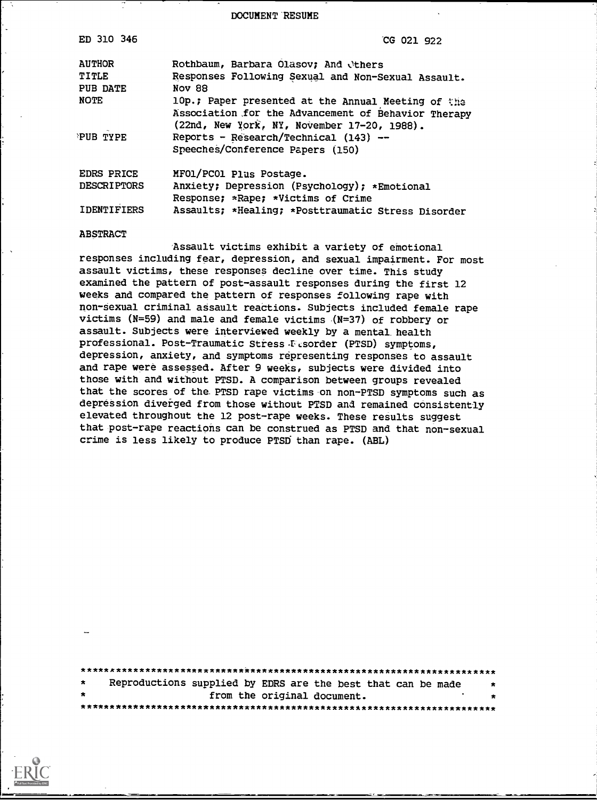DOCUMENT RESUME

| ED 310 346         | CG 021 922                                                                                                                                               |
|--------------------|----------------------------------------------------------------------------------------------------------------------------------------------------------|
| <b>AUTHOR</b>      | Rothbaum, Barbara Olasov; And Others                                                                                                                     |
| TITLE              | Responses Following Sexual and Non-Sexual Assault.                                                                                                       |
| PUB DATE           | Nov 88                                                                                                                                                   |
| <b>NOTE</b>        | 10p.; Paper presented at the Annual Meeting of the<br>Association for the Advancement of Behavior Therapy<br>(22nd, New York, NY, November 17-20, 1988). |
| PUB TYPE           | Reports - Research/Technical (143) --<br>Speeches/Conference Papers (150)                                                                                |
| EDRS PRICE         | MF01/PC01 Plus Postage.                                                                                                                                  |
| <b>DESCRIPTORS</b> | Anxiety; Depression (Psychology); *Emotional<br>Response; *Rape; *Victims of Crime                                                                       |
| <b>IDENTIFIERS</b> | Assaults; *Healing; *Posttraumatic Stress Disorder                                                                                                       |

#### **ABSTRACT**

Assault victims exhibit a variety of emotional responses including fear, depression, and sexual impairment. For most assault victims, these responses decline over time. This study examined the pattern of post-assault responses during the first 12 weeks and compared the pattern of responses following rape with non-sexual criminal assault reactions. Subjects included female rape victims ( $N=59$ ) and male and female victims ( $N=37$ ) of robbery or assault. Subjects were interviewed weekly by a mental health professional. Post-Traumatic Stress Fesorder (PTSD) symptoms, depression, anxiety, and symptoms representing responses to assault and rape were assessed. After 9 weeks, subjects were divided into those with and without PTSD. A comparison between groups revealed that the scores of the PTSD rape victims on non-PTSD symptoms such as depression diverged from those without PTSD and remained consistently elevated throughout the 12 post-rape weeks. These results suggest that post-rape reactions can be construed as PTSD and that non-sexual crime is less likely to produce PTSD than rape. (ABL)

Reproductions supplied by EDRS are the best that can be made from the original document.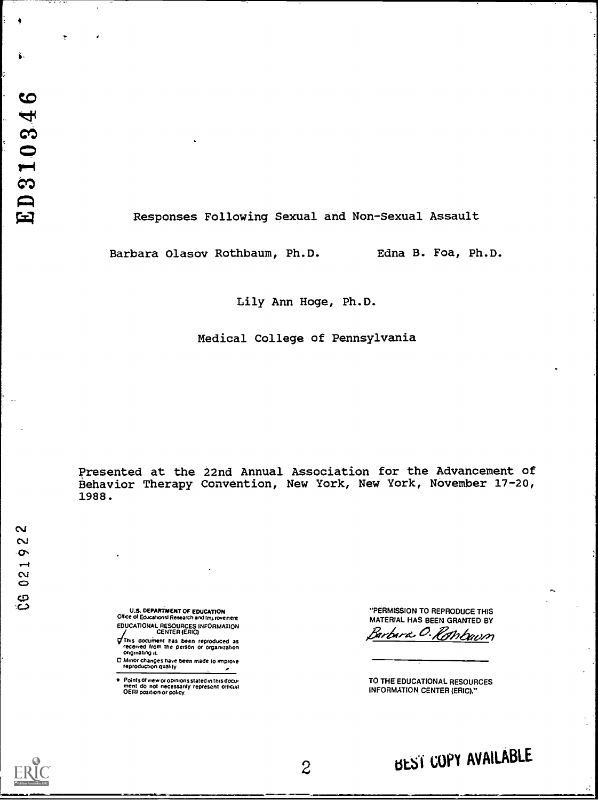# Responses Following Sexual and Non-Sexual Assault

Barbara Olasov Rothbaum, Ph.D. Edna B. Foa, Ph.D.

Lily Ann Hoge, Ph.D.

Medical College of Pennsylvania

Presented at the 22nd Annual Association for the Advancement of Behavior Therapy Convention, New York, New York, November 17-20, 1988.

 $\mathbf{\tilde{a}}$ 02192 ပ္ပ

- U.S. DEPARTMENT OF EDUCATION<br>Office of Educations! Research and Improvement EDUCATIONAL RESOURCES INFORMATION
- This document has been reproduced as<br>received from the person or organization originating it.
- D Minor changes have been made to improve<br>reproduction quality  $\tilde{\phantom{a}}$
- . Points of view or opinions stated in this document do not inecessarily represent official<br>OERI position or policy.

"PERMISSION TO REPRODUCE THIS MATERIAL HAS BEEN GRANTED BY Barbara O. Rombuum

TO THE EDUCATIONAL RESOURCES **INFORMATION CENTER (ERIC)."** 



BEST COPY AVAILABLE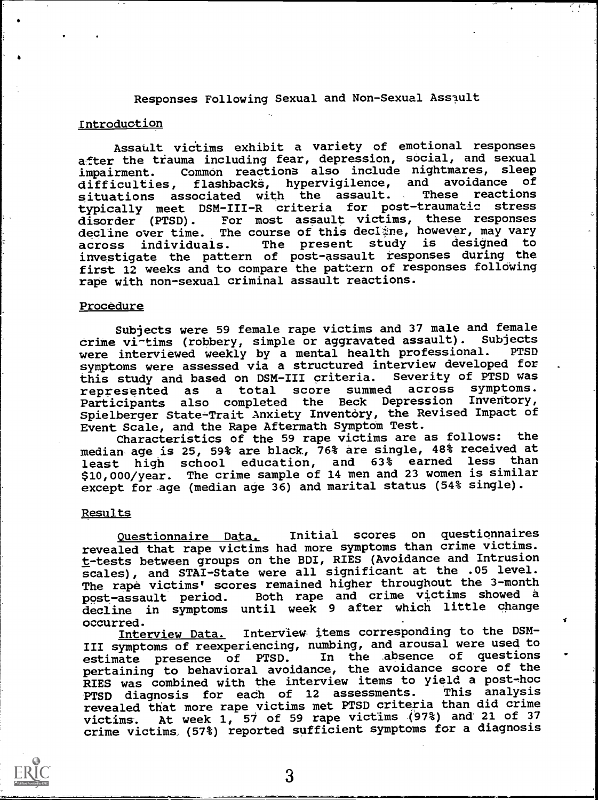Responses Following Sexual and Non-Sexual Assault

# Introduction

Assault victims exhibit a variety of emotional responses after the trauma including fear, depression, social, and sexual impairment. Common reactions also include nightmares, sleep<br>difficulties, flashbacks, hypervigilence, and avoidance of flashbacks, hypervigilence, and avoidance of<br>ociated with the assault. These reactions situations associated with the assault. typically meet DSM-III-R criteria for post-traumatic stress disorder (PTSD). For most assault victims, these responses decline over time. The course of this decline, however, may vary across individuals. The present study is designed to investigate the pattern of post-assault responses during the first 12 weeks and to compare the pattern of responses following rape with non-sexual criminal assault reactions.

### Procedure

Subjects were 59 female rape victims and 37 male and female crime vi-tims (robbery, simple or aggravated assault). Subjects<br>were interviewed weekly by a mental health professional. PTSD were interviewed weekly by a mental health professional. symptoms were assessed via a structured interview developed for<br>this study and based on DSM-III criteria. Severity of PTSD was this study and based on DSM-III criteria. Severity of PTSD was<br>represented as a total score summed across symptoms. represented as <sup>a</sup> total score summed across symptoms. Participants also completed the Beck Depression Inventory, Spielberger State-Trait Anxiety Inventory, the Revised Impact of Event Scale, and the Rape Aftermath Symptom Test.

Characteristics of the 59 rape victims are as follows: the median age is 25, 59% are black, 76% are single, 48% received at least high school education, and 63% earned less than \$10,000/year. The crime sample of 14 men and 23 women is similar except for age (median age 36) and marital status (54% single).

## Results

Questionnaire Data. Initial scores on questionnaires revealed that rape victims had more symptoms than crime victims. t-tests between groups on the BDI, RIES (Avoidance and Intrusion scales), and STAI-State were all significant at the .05 level. The rape victims' scores remained higher throughout the 3-month<br>post-assault period. Both rape and crime victims showed a Both rape and crime victims showed a decline in symptoms until week 9 after which little change occurred.

Interview Data. Interview items corresponding to the DSM-III symptoms of reexperiencing, numbing, and arousal were used to estimate presence of PTSD. In the absence of questions estimate presence of PTSD. In the absence of questions pertaining to behavioral avoidance, the avoidance score of the RIES was combined with the interview items to yield a post-hoc PTSD diagnosis for each of 12 assessments. revealed that more rape victims met PTSD criteria than did crime victims. At week 1, 57 of 59 rape victims (97%) and 21 of <sup>37</sup> crime victims (57%) reported sufficient symptoms for a diagnosis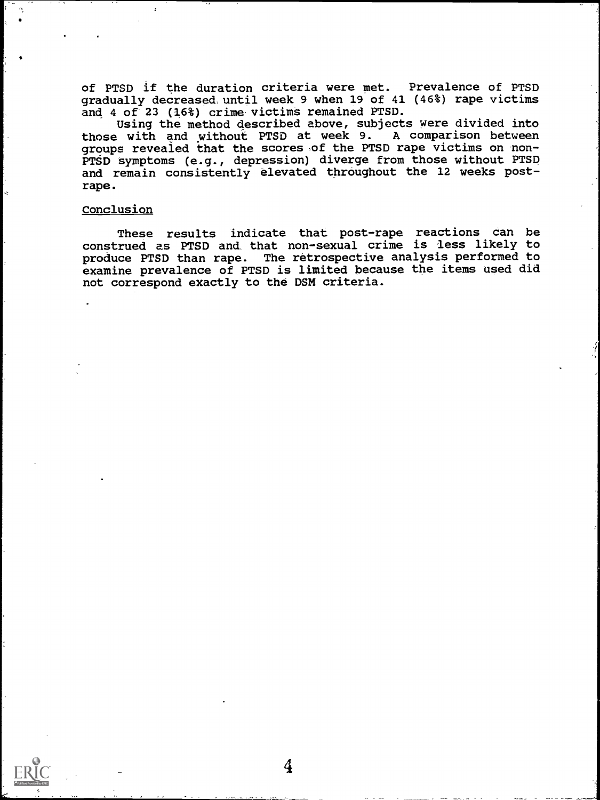of PTSD if the duration criteria were met. Prevalence of PTSD gradually decreased, until week 9 when 19 of 41 (46%) rape victims and 4 of 23 (16%) crime victims remained PTSD.

Using the method described above, subjects were divided into those with and without PTSD at week 9. A comparison between groups revealed that the scores ,of the PTSD rape victims on non-PTSD symptoms (e.g., depression) diverge from those without PTSD and remain consistently elevated throughout the 12 weeks postrape.

## Conclusion

These results indicate that post-rape reactions can be construed as PTSD and that non-sexual crime is less likely to produce PTSD than rape. The retrospective analysis performed to examine prevalence of PTSD is limited because the items used did not correspond exactly to the DSM criteria.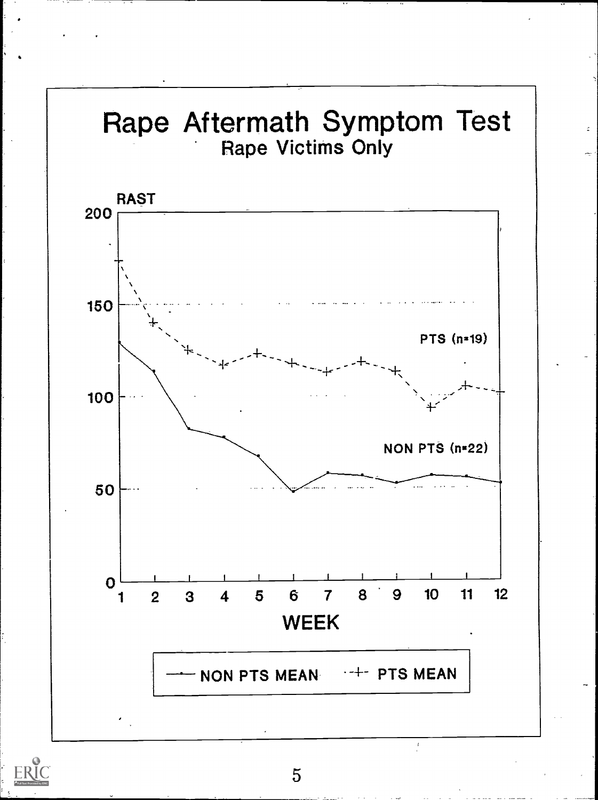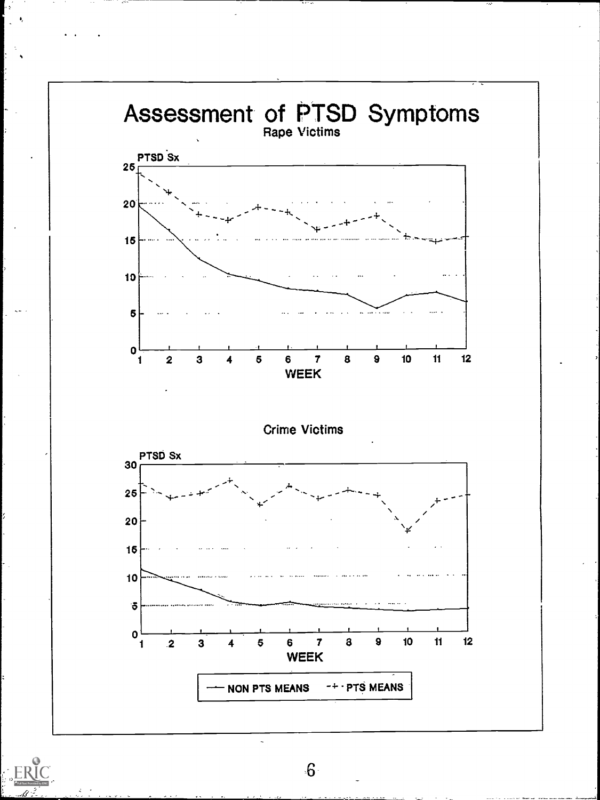

 $6\overline{6}$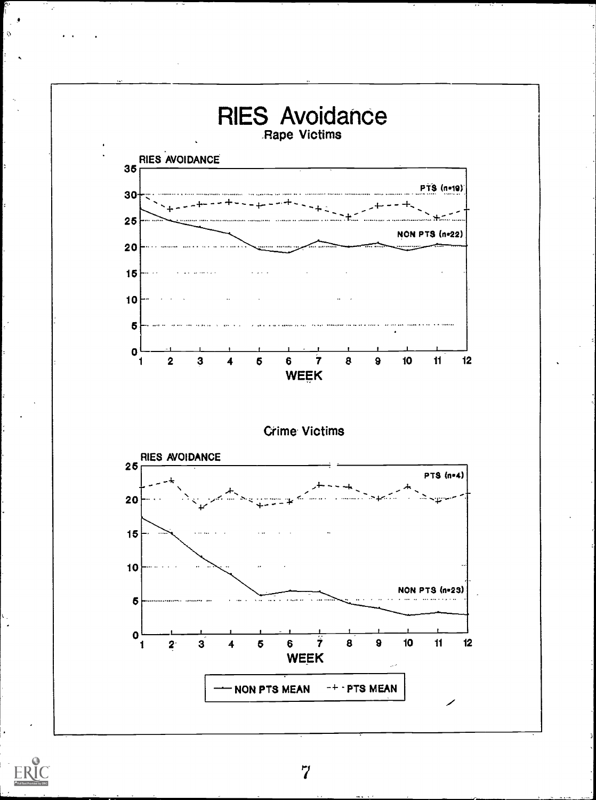

 $\Omega$ 

 $\overline{7}$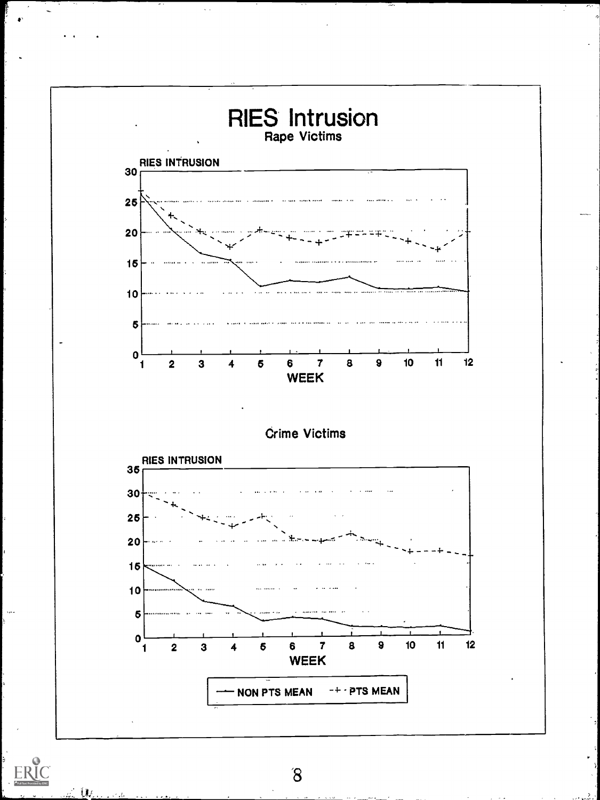

 $\sim$  .

 $\delta$ 

117  $\sim t$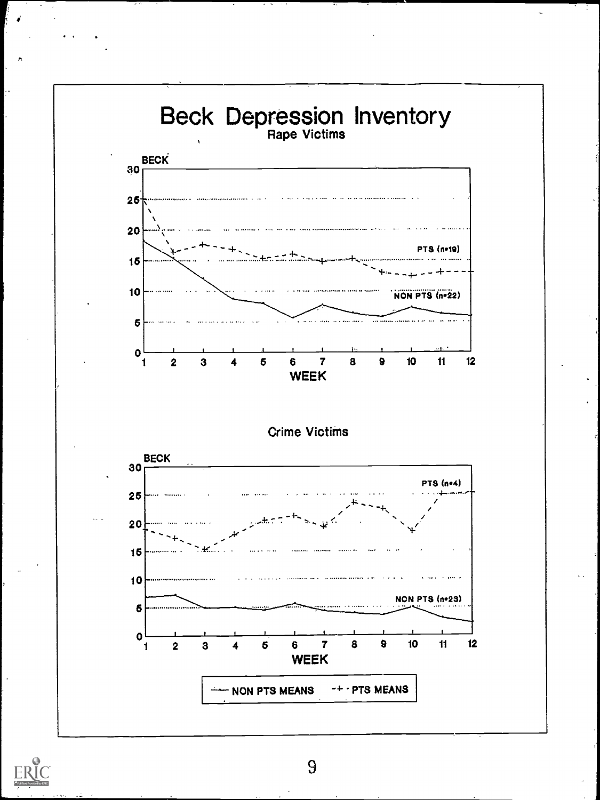